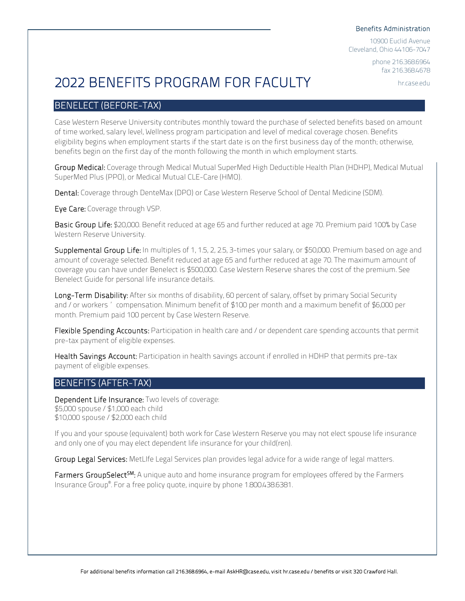#### Benefits Administration

10900 Euclid Avenue Cleveland, Ohio 44106-7047

> phone 216.368.6964 fax 216.368.4678

> > hr.case.edu

# 2022 BENEFITS PROGRAM FOR FACULTY

# BENELECT (BEFORE-TAX)

Case Western Reserve University contributes monthly toward the purchase of selected benefits based on amount of time worked, salary level, Wellness program participation and level of medical coverage chosen. Benefits eligibility begins when employment starts if the start date is on the first business day of the month; otherwise, benefits begin on the first day of the month following the month in which employment starts.

Group Medical: Coverage through Medical Mutual SuperMed High Deductible Health Plan (HDHP), Medical Mutual SuperMed Plus (PPO), or Medical Mutual CLE-Care (HMO).

Dental: Coverage through DenteMax (DPO) or Case Western Reserve School of Dental Medicine (SDM).

Eye Care: Coverage through VSP.

Basic Group Life: \$20,000. Benefit reduced at age 65 and further reduced at age 70. Premium paid 100% by Case Western Reserve University.

Supplemental Group Life: In multiples of 1, 1.5, 2, 2.5, 3-times your salary, or \$50,000. Premium based on age and amount of coverage selected. Benefit reduced at age 65 and further reduced at age 70. The maximum amount of coverage you can have under Benelect is \$500,000. Case Western Reserve shares the cost of the premium. See Benelect Guide for personal life insurance details.

Long-Term Disability: After six months of disability, 60 percent of salary, offset by primary Social Security and/or workers' compensation. Minimum benefit of \$100 per month and a maximum benefit of \$6,000 per month. Premium paid 100 percent by Case Western Reserve.

Flexible Spending Accounts: Participation in health care and / or dependent care spending accounts that permit pre-tax payment of eligible expenses.

Health Savings Account: Participation in health savings account if enrolled in HDHP that permits pre-tax payment of eligible expenses.

# BENEFITS (AFTER-TAX)

Dependent Life Insurance: Two levels of coverage: \$5,000 spouse/\$1,000 each child \$10,000 spouse/\$2,000 each child

If you and your spouse (equivalent) both work for Case Western Reserve you may not elect spouse life insurance and only one of you may elect dependent life insurance for your child(ren).

Group Legal Services: MetLIfe Legal Services plan provides legal advice for a wide range of legal matters.

Farmers GroupSelect<sup>5M</sup>: A unique auto and home insurance program for employees offered by the Farmers Insurance Group®. For a free policy quote, inquire by phone 1.800.438.6381.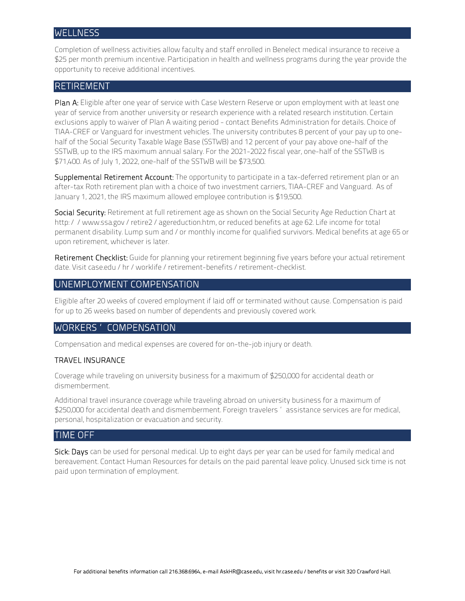#### **WELLNESS**

Completion of wellness activities allow faculty and staff enrolled in Benelect medical insurance to receive a \$25 per month premium incentive. Participation in health and wellness programs during the year provide the opportunity to receive additional incentives.

### RETIREMENT

Plan A: Eligible after one year of service with Case Western Reserve or upon employment with at least one year of service from another university or research experience with a related research institution. Certain exclusions apply to waiver of Plan A waiting period - contact Benefits Administration for details. Choice of TIAA-CREF or Vanguard for investment vehicles. The university contributes 8 percent of your pay up to onehalf of the Social Security Taxable Wage Base (SSTWB) and 12 percent of your pay above one-half of the SSTWB, up to the IRS maximum annual salary. For the 2021-2022 fiscal year, one-half of the SSTWB is \$71,400. As of July 1, 2022, one-half of the SSTWB will be \$73,500.

Supplemental Retirement Account: The opportunity to participate in a tax-deferred retirement plan or an after-tax Roth retirement plan with a choice of two investment carriers, TIAA-CREF and Vanguard. As of January 1, 2021, the IRS maximum allowed employee contribution is \$19,500.

Social Security: Retirement at full retirement age as shown on the Social Security Age Reduction Chart at http://www.ssa.gov/retire2/agereduction.htm, or reduced benefits at age 62. Life income for total permanent disability. Lump sum and/or monthly income for qualified survivors. Medical benefits at age 65 or upon retirement, whichever is later.

Retirement Checklist: Guide for planning your retirement beginning five years before your actual retirement date. Visit case.edu/hr/worklife/retirement-benefits/retirement-checklist.

# UNEMPLOYMENT COMPENSATION

Eligible after 20 weeks of covered employment if laid off or terminated without cause. Compensation is paid for up to 26 weeks based on number of dependents and previously covered work.

#### WORKERS' COMPENSATION

Compensation and medical expenses are covered for on-the-job injury or death.

#### TRAVEL INSURANCE

Coverage while traveling on university business for a maximum of \$250,000 for accidental death or dismemberment.

Additional travel insurance coverage while traveling abroad on university business for a maximum of \$250,000 for accidental death and dismemberment. Foreign travelers' assistance services are for medical, personal, hospitalization or evacuation and security.

#### TIME OFF

Sick: Days can be used for personal medical. Up to eight days per year can be used for family medical and bereavement. Contact Human Resources for details on the paid parental leave policy. Unused sick time is not paid upon termination of employment.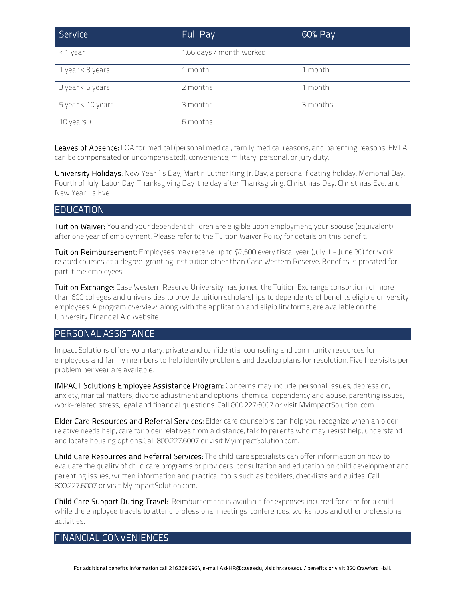| Service            | Full Pay                 | 60% Pay  |
|--------------------|--------------------------|----------|
| < 1 year           | 1.66 days / month worked |          |
| 1 year < 3 years   | 1 month                  | 1 month  |
| $3$ year < 5 years | 2 months                 | 1 month  |
| 5 year < 10 years  | 3 months                 | 3 months |
| 10 years $+$       | 6 months                 |          |

Leaves of Absence: LOA for medical (personal medical, family medical reasons, and parenting reasons, FMLA can be compensated or uncompensated); convenience; military; personal; or jury duty.

University Holidays: New Year's Day, Martin Luther King Jr. Day, a personal floating holiday, Memorial Day, Fourth of July, Labor Day, Thanksgiving Day, the day after Thanksgiving, Christmas Day, Christmas Eve, and New Year's Eve.

#### EDUCATION

Tuition Waiver: You and your dependent children are eligible upon employment, your spouse (equivalent) after one year of employment. Please refer to the Tuition Waiver Policy for details on this benefit.

Tuition Reimbursement: Employees may receive up to \$2,500 every fiscal year (July 1 - June 30) for work related courses at a degree-granting institution other than Case Western Reserve. Benefits is prorated for part-time employees.

Tuition Exchange: Case Western Reserve University has joined the Tuition Exchange consortium of more than 600 colleges and universities to provide tuition scholarships to dependents of benefits eligible university employees. A program overview, along with the application and eligibility forms, are available on the University Financial Aid website.

#### PERSONAL ASSISTANCE

Impact Solutions offers voluntary, private and confidential counseling and community resources for employees and family members to help identify problems and develop plans for resolution. Five free visits per problem per year are available.

IMPACT Solutions Employee Assistance Program: Concerns may include: personal issues, depression, anxiety, marital matters, divorce adjustment and options, chemical dependency and abuse, parenting issues, work-related stress, legal and financial questions. Call 800.227.6007 or visit MyimpactSolution. com.

Elder Care Resources and Referral Services: Elder care counselors can help you recognize when an older relative needs help, care for older relatives from a distance, talk to parents who may resist help, understand and locate housing options.Call 800.227.6007 or visit MyimpactSolution.com.

Child Care Resources and Referral Services: The child care specialists can offer information on how to evaluate the quality of child care programs or providers, consultation and education on child development and parenting issues, written information and practical tools such as booklets, checklists and guides. Call 800.227.6007 or visit MyimpactSolution.com.

Child Care Support During Travel: Reimbursement is available for expenses incurred for care for a child while the employee travels to attend professional meetings, conferences, workshops and other professional activities.

# FINANCIAL CONVENIENCES